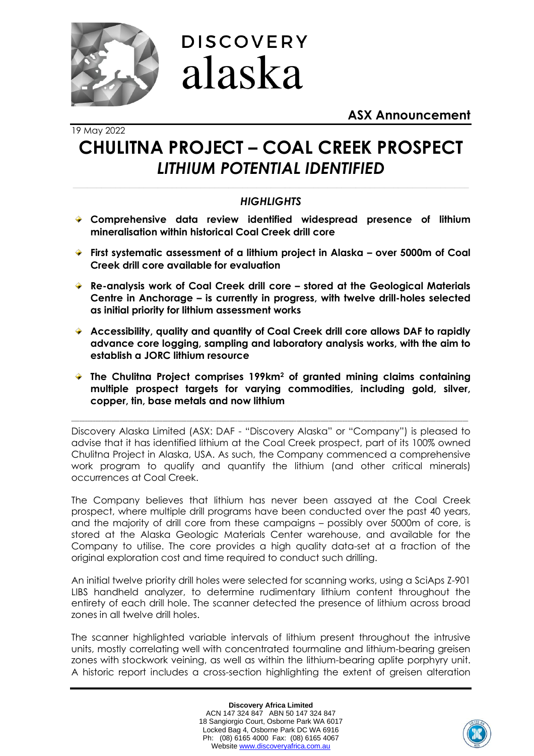

**ASX Announcement**

19 May 2022

### **CHULITNA PROJECT – COAL CREEK PROSPECT** *LITHIUM POTENTIAL IDENTIFIED*

### *HIGHLIGHTS*

- **Comprehensive data review identified widespread presence of lithium mineralisation within historical Coal Creek drill core**
- **First systematic assessment of a lithium project in Alaska – over 5000m of Coal Creek drill core available for evaluation**
- **Re-analysis work of Coal Creek drill core – stored at the Geological Materials Centre in Anchorage – is currently in progress, with twelve drill-holes selected as initial priority for lithium assessment works**
- **Accessibility, quality and quantity of Coal Creek drill core allows DAF to rapidly advance core logging, sampling and laboratory analysis works, with the aim to establish a JORC lithium resource**
- **The Chulitna Project comprises 199km<sup>2</sup> of granted mining claims containing multiple prospect targets for varying commodities, including gold, silver, copper, tin, base metals and now lithium**

Discovery Alaska Limited (ASX: DAF - "Discovery Alaska" or "Company") is pleased to advise that it has identified lithium at the Coal Creek prospect, part of its 100% owned Chulitna Project in Alaska, USA. As such, the Company commenced a comprehensive work program to qualify and quantify the lithium (and other critical minerals) occurrences at Coal Creek.

\_\_\_\_\_\_\_\_\_\_\_\_\_\_\_\_\_\_\_\_\_\_\_\_\_\_\_\_\_\_\_\_\_\_\_\_\_\_\_\_\_\_\_\_\_\_\_\_\_\_\_\_\_\_\_\_\_\_\_\_\_\_\_\_\_\_\_\_\_\_\_\_\_\_\_\_\_\_\_\_\_\_\_\_\_\_\_\_\_\_\_\_\_\_\_\_\_\_\_\_\_\_\_\_\_\_\_\_\_\_\_\_\_\_\_\_\_\_\_\_\_\_\_\_\_\_\_\_\_\_\_\_\_\_\_\_\_\_\_\_\_\_\_\_\_\_\_\_

The Company believes that lithium has never been assayed at the Coal Creek prospect, where multiple drill programs have been conducted over the past 40 years, and the majority of drill core from these campaigns – possibly over 5000m of core, is stored at the Alaska Geologic Materials Center warehouse, and available for the Company to utilise. The core provides a high quality data-set at a fraction of the original exploration cost and time required to conduct such drilling.

An initial twelve priority drill holes were selected for scanning works, using a SciAps Z-901 LIBS handheld analyzer, to determine rudimentary lithium content throughout the entirety of each drill hole. The scanner detected the presence of lithium across broad zones in all twelve drill holes.

The scanner highlighted variable intervals of lithium present throughout the intrusive units, mostly correlating well with concentrated tourmaline and lithium-bearing greisen zones with stockwork veining, as well as within the lithium-bearing aplite porphyry unit. A historic report includes a cross-section highlighting the extent of greisen alteration

> **Discovery Africa Limited** ACN 147 324 847 ABN 50 147 324 847 18 Sangiorgio Court, Osborne Park WA 6017 Locked Bag 4, Osborne Park DC WA 6916 Ph: (08) 6165 4000 Fax: (08) 6165 4067 Websit[e www.discoveryafrica.com.au](http://www.discoveryafrica.com.au/)

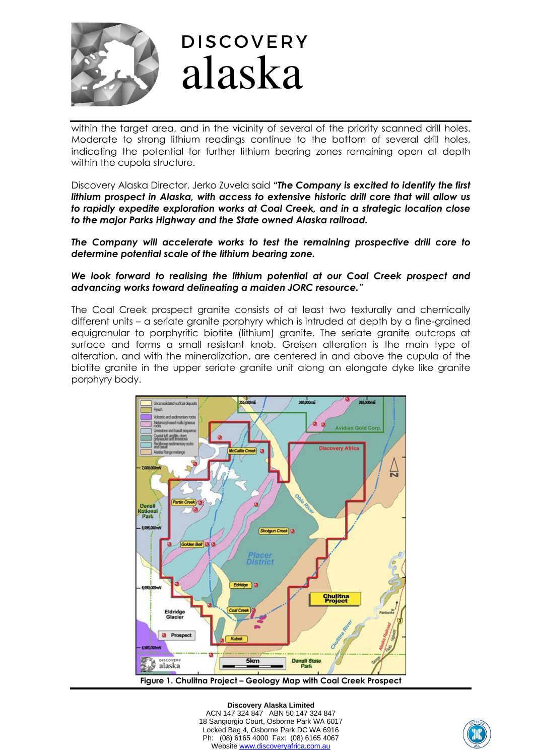

within the target area, and in the vicinity of several of the priority scanned drill holes. Moderate to strong lithium readings continue to the bottom of several drill holes, indicating the potential for further lithium bearing zones remaining open at depth within the cupola structure.

Discovery Alaska Director, Jerko Zuvela said *"The Company is excited to identify the first lithium prospect in Alaska, with access to extensive historic drill core that will allow us to rapidly expedite exploration works at Coal Creek, and in a strategic location close to the major Parks Highway and the State owned Alaska railroad.*

*The Company will accelerate works to test the remaining prospective drill core to determine potential scale of the lithium bearing zone.*

#### *We look forward to realising the lithium potential at our Coal Creek prospect and advancing works toward delineating a maiden JORC resource."*

The Coal Creek prospect granite consists of at least two texturally and chemically different units – a seriate granite porphyry which is intruded at depth by a fine-grained equigranular to porphyritic biotite (lithium) granite. The seriate granite outcrops at surface and forms a small resistant knob. Greisen alteration is the main type of alteration, and with the mineralization, are centered in and above the cupula of the biotite granite in the upper seriate granite unit along an elongate dyke like granite porphyry body.



**Discovery Alaska Limited** ACN 147 324 847 ABN 50 147 324 847 18 Sangiorgio Court, Osborne Park WA 6017 Locked Bag 4, Osborne Park DC WA 6916 Ph: (08) 6165 4000 Fax: (08) 6165 4067 Websit[e www.discoveryafrica.com.au](http://www.discoveryafrica.com.au/)

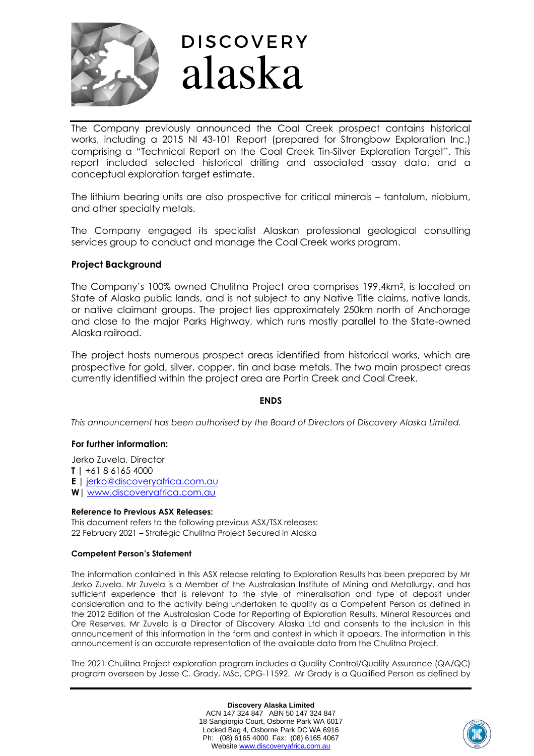

The Company previously announced the Coal Creek prospect contains historical works, including a 2015 NI 43-101 Report (prepared for Strongbow Exploration Inc.) comprising a "Technical Report on the Coal Creek Tin-Silver Exploration Target". This report included selected historical drilling and associated assay data, and a conceptual exploration target estimate.

The lithium bearing units are also prospective for critical minerals – tantalum, niobium, and other specialty metals.

The Company engaged its specialist Alaskan professional geological consulting services group to conduct and manage the Coal Creek works program.

#### **Project Background**

The Company's 100% owned Chulitna Project area comprises 199.4km2, is located on State of Alaska public lands, and is not subject to any Native Title claims, native lands, or native claimant groups. The project lies approximately 250km north of Anchorage and close to the major Parks Highway, which runs mostly parallel to the State-owned Alaska railroad.

The project hosts numerous prospect areas identified from historical works, which are prospective for gold, silver, copper, tin and base metals. The two main prospect areas currently identified within the project area are Partin Creek and Coal Creek.

#### **ENDS**

*This announcement has been authorised by the Board of Directors of Discovery Alaska Limited.*

#### **For further information:**

Jerko Zuvela, Director

**T |** +61 8 6165 4000

**E |** [jerko@discoveryafrica.com.au](mailto:jerko@discoveryafrica.com.au)

**W|** [www.discoveryafrica.com.au](http://www.discoveryafrica.com.au/)

#### **Reference to Previous ASX Releases:**

This document refers to the following previous ASX/TSX releases: 22 February 2021 – Strategic Chulitna Project Secured in Alaska

#### **Competent Person's Statement**

The information contained in this ASX release relating to Exploration Results has been prepared by Mr Jerko Zuvela. Mr Zuvela is a Member of the Australasian Institute of Mining and Metallurgy, and has sufficient experience that is relevant to the style of mineralisation and type of deposit under consideration and to the activity being undertaken to qualify as a Competent Person as defined in the 2012 Edition of the Australasian Code for Reporting of Exploration Results, Mineral Resources and Ore Reserves. Mr Zuvela is a Director of Discovery Alaska Ltd and consents to the inclusion in this announcement of this information in the form and context in which it appears. The information in this announcement is an accurate representation of the available data from the Chulitna Project.

The 2021 Chulitna Project exploration program includes a Quality Control/Quality Assurance (QA/QC) program overseen by Jesse C. Grady, MSc, CPG-11592. Mr Grady is a Qualified Person as defined by

> **Discovery Alaska Limited** ACN 147 324 847 ABN 50 147 324 847 18 Sangiorgio Court, Osborne Park WA 6017 Locked Bag 4, Osborne Park DC WA 6916 Ph: (08) 6165 4000 Fax: (08) 6165 4067 Websit[e www.discoveryafrica.com.au](http://www.discoveryafrica.com.au/)